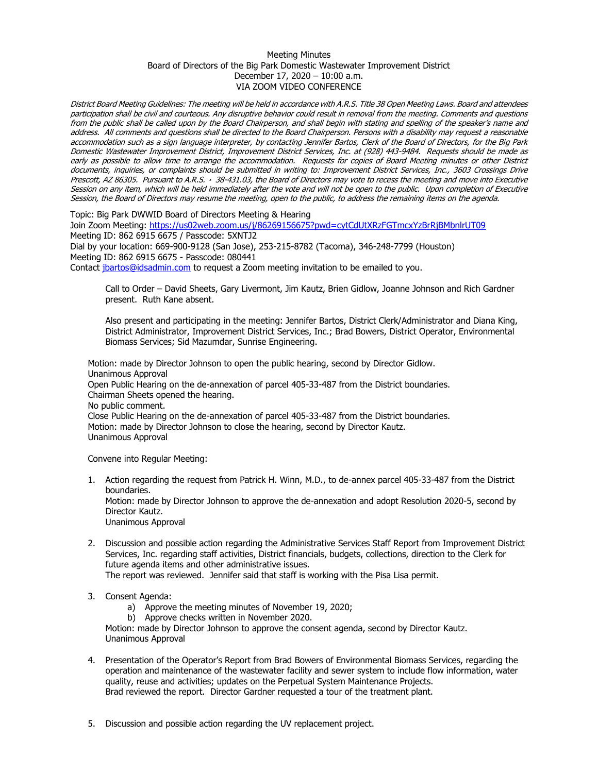## Meeting Minutes Board of Directors of the Big Park Domestic Wastewater Improvement District December 17, 2020 – 10:00 a.m. VIA ZOOM VIDEO CONFERENCE

District Board Meeting Guidelines: The meeting will be held in accordance with A.R.S. Title 38 Open Meeting Laws. Board and attendees participation shall be civil and courteous. Any disruptive behavior could result in removal from the meeting. Comments and questions from the public shall be called upon by the Board Chairperson, and shall begin with stating and spelling of the speaker's name and address. All comments and questions shall be directed to the Board Chairperson. Persons with a disability may request a reasonable accommodation such as a sign language interpreter, by contacting Jennifer Bartos, Clerk of the Board of Directors, for the Big Park Domestic Wastewater Improvement District, Improvement District Services, Inc. at (928) 443-9484. Requests should be made as early as possible to allow time to arrange the accommodation. Requests for copies of Board Meeting minutes or other District documents, inquiries, or complaints should be submitted in writing to: Improvement District Services, Inc., 3603 Crossings Drive Prescott, AZ 86305. Pursuant to A.R.S. · 38-431.03, the Board of Directors may vote to recess the meeting and move into Executive Session on any item, which will be held immediately after the vote and will not be open to the public. Upon completion of Executive Session, the Board of Directors may resume the meeting, open to the public, to address the remaining items on the agenda.

Topic: Big Park DWWID Board of Directors Meeting & Hearing

Join Zoom Meeting:<https://us02web.zoom.us/j/86269156675?pwd=cytCdUtXRzFGTmcxYzBrRjBMbnlrUT09> Meeting ID: 862 6915 6675 / Passcode: 5XNTJ2 Dial by your location: 669-900-9128 (San Jose), 253-215-8782 (Tacoma), 346-248-7799 (Houston) Meeting ID: 862 6915 6675 - Passcode: 080441

Contact [jbartos@idsadmin.com](mailto:jbartos@idsadmin.com) to request a Zoom meeting invitation to be emailed to you.

Call to Order – David Sheets, Gary Livermont, Jim Kautz, Brien Gidlow, Joanne Johnson and Rich Gardner present. Ruth Kane absent.

Also present and participating in the meeting: Jennifer Bartos, District Clerk/Administrator and Diana King, District Administrator, Improvement District Services, Inc.; Brad Bowers, District Operator, Environmental Biomass Services; Sid Mazumdar, Sunrise Engineering.

Motion: made by Director Johnson to open the public hearing, second by Director Gidlow. Unanimous Approval Open Public Hearing on the de-annexation of parcel 405-33-487 from the District boundaries. Chairman Sheets opened the hearing. No public comment. Close Public Hearing on the de-annexation of parcel 405-33-487 from the District boundaries. Motion: made by Director Johnson to close the hearing, second by Director Kautz.

Unanimous Approval

Convene into Regular Meeting:

- 1. Action regarding the request from Patrick H. Winn, M.D., to de-annex parcel 405-33-487 from the District boundaries. Motion: made by Director Johnson to approve the de-annexation and adopt Resolution 2020-5, second by Director Kautz. Unanimous Approval
- 2. Discussion and possible action regarding the Administrative Services Staff Report from Improvement District Services, Inc. regarding staff activities, District financials, budgets, collections, direction to the Clerk for future agenda items and other administrative issues. The report was reviewed. Jennifer said that staff is working with the Pisa Lisa permit.
- 3. Consent Agenda:
	- a) Approve the meeting minutes of November 19, 2020;
	- b) Approve checks written in November 2020.

Motion: made by Director Johnson to approve the consent agenda, second by Director Kautz. Unanimous Approval

- 4. Presentation of the Operator's Report from Brad Bowers of Environmental Biomass Services, regarding the operation and maintenance of the wastewater facility and sewer system to include flow information, water quality, reuse and activities; updates on the Perpetual System Maintenance Projects. Brad reviewed the report. Director Gardner requested a tour of the treatment plant.
- 5. Discussion and possible action regarding the UV replacement project.